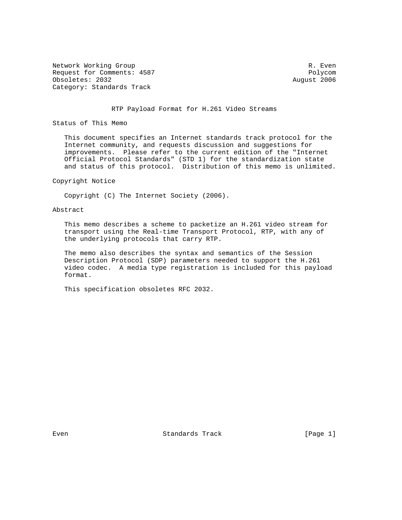Network Working Group and the set of the set of the set of the set of the set of the set of the set of the set of the set of the set of the set of the set of the set of the set of the set of the set of the set of the set o Request for Comments: 4587 Polycom Obsoletes: 2032 August 2006 Category: Standards Track

#### RTP Payload Format for H.261 Video Streams

Status of This Memo

 This document specifies an Internet standards track protocol for the Internet community, and requests discussion and suggestions for improvements. Please refer to the current edition of the "Internet Official Protocol Standards" (STD 1) for the standardization state and status of this protocol. Distribution of this memo is unlimited.

### Copyright Notice

Copyright (C) The Internet Society (2006).

### Abstract

 This memo describes a scheme to packetize an H.261 video stream for transport using the Real-time Transport Protocol, RTP, with any of the underlying protocols that carry RTP.

 The memo also describes the syntax and semantics of the Session Description Protocol (SDP) parameters needed to support the H.261 video codec. A media type registration is included for this payload format.

This specification obsoletes RFC 2032.

Even Standards Track (Page 1)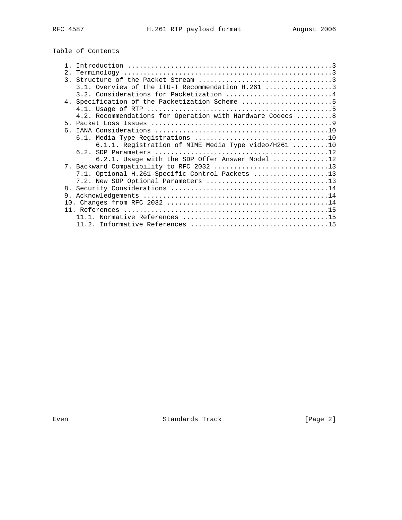# Table of Contents

|    | 3.2. Considerations for Packetization 4                    |
|----|------------------------------------------------------------|
|    | 4. Specification of the Packetization Scheme 5             |
|    |                                                            |
|    | 4.2. Recommendations for Operation with Hardware Codecs  8 |
|    |                                                            |
| რ. |                                                            |
|    |                                                            |
|    | 6.1.1. Registration of MIME Media Type video/H261 10       |
|    |                                                            |
|    | 6.2.1. Usage with the SDP Offer Answer Model 12            |
|    |                                                            |
|    | 7.1. Optional H.261-Specific Control Packets 13            |
|    | 7.2. New SDP Optional Parameters 13                        |
|    |                                                            |
| 9. |                                                            |
|    |                                                            |
|    |                                                            |
|    |                                                            |
|    |                                                            |

Even **Example 2** Standards Track **Example 2** [Page 2]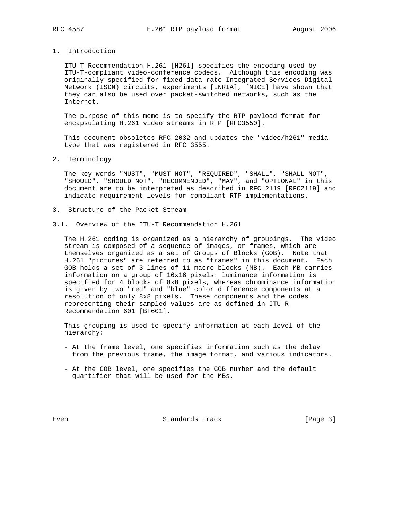# 1. Introduction

 ITU-T Recommendation H.261 [H261] specifies the encoding used by ITU-T-compliant video-conference codecs. Although this encoding was originally specified for fixed-data rate Integrated Services Digital Network (ISDN) circuits, experiments [INRIA], [MICE] have shown that they can also be used over packet-switched networks, such as the Internet.

 The purpose of this memo is to specify the RTP payload format for encapsulating H.261 video streams in RTP [RFC3550].

 This document obsoletes RFC 2032 and updates the "video/h261" media type that was registered in RFC 3555.

2. Terminology

 The key words "MUST", "MUST NOT", "REQUIRED", "SHALL", "SHALL NOT", "SHOULD", "SHOULD NOT", "RECOMMENDED", "MAY", and "OPTIONAL" in this document are to be interpreted as described in RFC 2119 [RFC2119] and indicate requirement levels for compliant RTP implementations.

- 3. Structure of the Packet Stream
- 3.1. Overview of the ITU-T Recommendation H.261

 The H.261 coding is organized as a hierarchy of groupings. The video stream is composed of a sequence of images, or frames, which are themselves organized as a set of Groups of Blocks (GOB). Note that H.261 "pictures" are referred to as "frames" in this document. Each GOB holds a set of 3 lines of 11 macro blocks (MB). Each MB carries information on a group of 16x16 pixels: luminance information is specified for 4 blocks of 8x8 pixels, whereas chrominance information is given by two "red" and "blue" color difference components at a resolution of only 8x8 pixels. These components and the codes representing their sampled values are as defined in ITU-R Recommendation 601 [BT601].

 This grouping is used to specify information at each level of the hierarchy:

- At the frame level, one specifies information such as the delay from the previous frame, the image format, and various indicators.
- At the GOB level, one specifies the GOB number and the default quantifier that will be used for the MBs.

Even Standards Track [Page 3]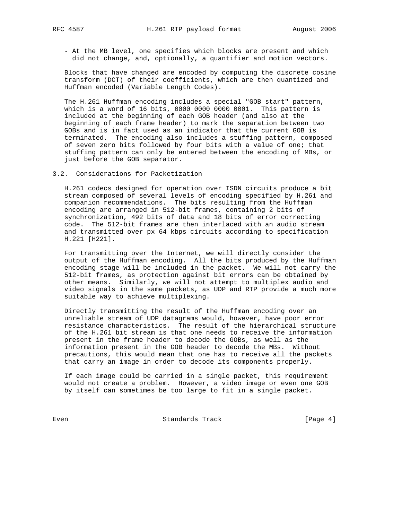- At the MB level, one specifies which blocks are present and which did not change, and, optionally, a quantifier and motion vectors.

 Blocks that have changed are encoded by computing the discrete cosine transform (DCT) of their coefficients, which are then quantized and Huffman encoded (Variable Length Codes).

 The H.261 Huffman encoding includes a special "GOB start" pattern, which is a word of 16 bits, 0000 0000 0000 0001. This pattern is included at the beginning of each GOB header (and also at the beginning of each frame header) to mark the separation between two GOBs and is in fact used as an indicator that the current GOB is terminated. The encoding also includes a stuffing pattern, composed of seven zero bits followed by four bits with a value of one; that stuffing pattern can only be entered between the encoding of MBs, or just before the GOB separator.

3.2. Considerations for Packetization

 H.261 codecs designed for operation over ISDN circuits produce a bit stream composed of several levels of encoding specified by H.261 and companion recommendations. The bits resulting from the Huffman encoding are arranged in 512-bit frames, containing 2 bits of synchronization, 492 bits of data and 18 bits of error correcting code. The 512-bit frames are then interlaced with an audio stream and transmitted over px 64 kbps circuits according to specification H.221 [H221].

 For transmitting over the Internet, we will directly consider the output of the Huffman encoding. All the bits produced by the Huffman encoding stage will be included in the packet. We will not carry the 512-bit frames, as protection against bit errors can be obtained by other means. Similarly, we will not attempt to multiplex audio and video signals in the same packets, as UDP and RTP provide a much more suitable way to achieve multiplexing.

 Directly transmitting the result of the Huffman encoding over an unreliable stream of UDP datagrams would, however, have poor error resistance characteristics. The result of the hierarchical structure of the H.261 bit stream is that one needs to receive the information present in the frame header to decode the GOBs, as well as the information present in the GOB header to decode the MBs. Without precautions, this would mean that one has to receive all the packets that carry an image in order to decode its components properly.

 If each image could be carried in a single packet, this requirement would not create a problem. However, a video image or even one GOB by itself can sometimes be too large to fit in a single packet.

Even Standards Track [Page 4]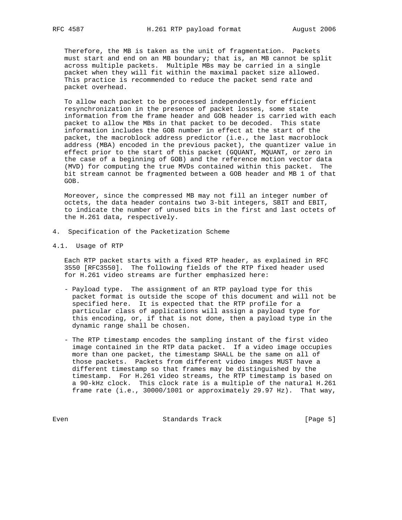Therefore, the MB is taken as the unit of fragmentation. Packets must start and end on an MB boundary; that is, an MB cannot be split across multiple packets. Multiple MBs may be carried in a single packet when they will fit within the maximal packet size allowed. This practice is recommended to reduce the packet send rate and packet overhead.

 To allow each packet to be processed independently for efficient resynchronization in the presence of packet losses, some state information from the frame header and GOB header is carried with each packet to allow the MBs in that packet to be decoded. This state information includes the GOB number in effect at the start of the packet, the macroblock address predictor (i.e., the last macroblock address (MBA) encoded in the previous packet), the quantizer value in effect prior to the start of this packet (GQUANT, MQUANT, or zero in the case of a beginning of GOB) and the reference motion vector data (MVD) for computing the true MVDs contained within this packet. The bit stream cannot be fragmented between a GOB header and MB 1 of that GOB.

 Moreover, since the compressed MB may not fill an integer number of octets, the data header contains two 3-bit integers, SBIT and EBIT, to indicate the number of unused bits in the first and last octets of the H.261 data, respectively.

- 4. Specification of the Packetization Scheme
- 4.1. Usage of RTP

 Each RTP packet starts with a fixed RTP header, as explained in RFC 3550 [RFC3550]. The following fields of the RTP fixed header used for H.261 video streams are further emphasized here:

- Payload type. The assignment of an RTP payload type for this packet format is outside the scope of this document and will not be specified here. It is expected that the RTP profile for a particular class of applications will assign a payload type for this encoding, or, if that is not done, then a payload type in the dynamic range shall be chosen.
- The RTP timestamp encodes the sampling instant of the first video image contained in the RTP data packet. If a video image occupies more than one packet, the timestamp SHALL be the same on all of those packets. Packets from different video images MUST have a different timestamp so that frames may be distinguished by the timestamp. For H.261 video streams, the RTP timestamp is based on a 90-kHz clock. This clock rate is a multiple of the natural H.261 frame rate (i.e., 30000/1001 or approximately 29.97 Hz). That way,

Even **Example 2018** Standards Track **Example 2018** [Page 5]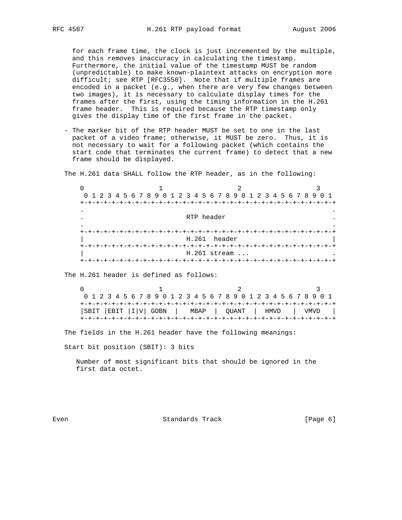for each frame time, the clock is just incremented by the multiple, and this removes inaccuracy in calculating the timestamp. Furthermore, the initial value of the timestamp MUST be random (unpredictable) to make known-plaintext attacks on encryption more difficult; see RTP [RFC3550]. Note that if multiple frames are encoded in a packet (e.g., when there are very few changes between two images), it is necessary to calculate display times for the frames after the first, using the timing information in the H.261 frame header. This is required because the RTP timestamp only gives the display time of the first frame in the packet.

 - The marker bit of the RTP header MUST be set to one in the last packet of a video frame; otherwise, it MUST be zero. Thus, it is not necessary to wait for a following packet (which contains the start code that terminates the current frame) to detect that a new frame should be displayed.

The H.261 data SHALL follow the RTP header, as in the following:

 $0$  1 2 3 0 1 2 3 4 5 6 7 8 9 0 1 2 3 4 5 6 7 8 9 0 1 2 3 4 5 6 7 8 9 0 1 +-+-+-+-+-+-+-+-+-+-+-+-+-+-+-+-+-+-+-+-+-+-+-+-+-+-+-+-+-+-+-+-+ . . . RTP header . . . +-+-+-+-+-+-+-+-+-+-+-+-+-+-+-+-+-+-+-+-+-+-+-+-+-+-+-+-+-+-+-+-+ H.261 header +-+-+-+-+-+-+-+-+-+-+-+-+-+-+-+-+-+-+-+-+-+-+-+-+-+-+-+-+-+-+-+-+ H.261 stream ... +-+-+-+-+-+-+-+-+-+-+-+-+-+-+-+-+-+-+-+-+-+-+-+-+-+-+-+-+-+-+-+-+

The H.261 header is defined as follows:

 $0$  1 2 3 0 1 2 3 4 5 6 7 8 9 0 1 2 3 4 5 6 7 8 9 0 1 2 3 4 5 6 7 8 9 0 1 +-+-+-+-+-+-+-+-+-+-+-+-+-+-+-+-+-+-+-+-+-+-+-+-+-+-+-+-+-+-+-+-+ |SBIT |EBIT |I|V| GOBN | MBAP | QUANT | HMVD | VMVD | +-+-+-+-+-+-+-+-+-+-+-+-+-+-+-+-+-+-+-+-+-+-+-+-+-+-+-+-+-+-+-+-+

The fields in the H.261 header have the following meanings:

Start bit position (SBIT): 3 bits

 Number of most significant bits that should be ignored in the first data octet.

Even Standards Track [Page 6]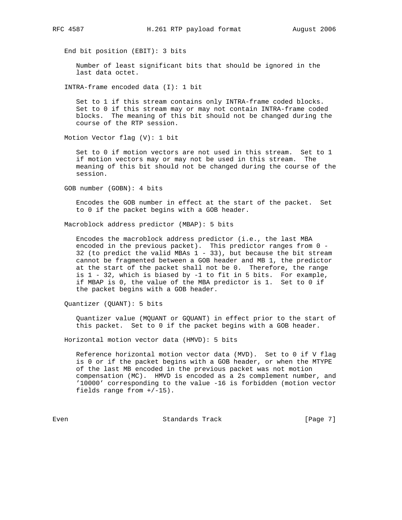End bit position (EBIT): 3 bits

 Number of least significant bits that should be ignored in the last data octet.

INTRA-frame encoded data (I): 1 bit

 Set to 1 if this stream contains only INTRA-frame coded blocks. Set to 0 if this stream may or may not contain INTRA-frame coded blocks. The meaning of this bit should not be changed during the course of the RTP session.

Motion Vector flag (V): 1 bit

 Set to 0 if motion vectors are not used in this stream. Set to 1 if motion vectors may or may not be used in this stream. The meaning of this bit should not be changed during the course of the session.

GOB number (GOBN): 4 bits

 Encodes the GOB number in effect at the start of the packet. Set to 0 if the packet begins with a GOB header.

Macroblock address predictor (MBAP): 5 bits

 Encodes the macroblock address predictor (i.e., the last MBA encoded in the previous packet). This predictor ranges from 0 - 32 (to predict the valid MBAs 1 - 33), but because the bit stream cannot be fragmented between a GOB header and MB 1, the predictor at the start of the packet shall not be 0. Therefore, the range is 1 - 32, which is biased by -1 to fit in 5 bits. For example, if MBAP is 0, the value of the MBA predictor is 1. Set to 0 if the packet begins with a GOB header.

Quantizer (QUANT): 5 bits

 Quantizer value (MQUANT or GQUANT) in effect prior to the start of this packet. Set to 0 if the packet begins with a GOB header.

Horizontal motion vector data (HMVD): 5 bits

 Reference horizontal motion vector data (MVD). Set to 0 if V flag is 0 or if the packet begins with a GOB header, or when the MTYPE of the last MB encoded in the previous packet was not motion compensation (MC). HMVD is encoded as a 2s complement number, and '10000' corresponding to the value -16 is forbidden (motion vector fields range from +/-15).

Even Standards Track [Page 7]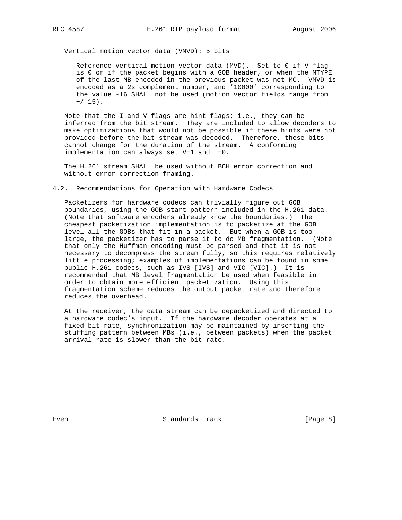Vertical motion vector data (VMVD): 5 bits

 Reference vertical motion vector data (MVD). Set to 0 if V flag is 0 or if the packet begins with a GOB header, or when the MTYPE of the last MB encoded in the previous packet was not MC. VMVD is encoded as a 2s complement number, and '10000' corresponding to the value -16 SHALL not be used (motion vector fields range from  $+/-15$ ).

Note that the I and V flags are hint flags; i.e., they can be inferred from the bit stream. They are included to allow decoders to make optimizations that would not be possible if these hints were not provided before the bit stream was decoded. Therefore, these bits cannot change for the duration of the stream. A conforming implementation can always set V=1 and I=0.

 The H.261 stream SHALL be used without BCH error correction and without error correction framing.

4.2. Recommendations for Operation with Hardware Codecs

 Packetizers for hardware codecs can trivially figure out GOB boundaries, using the GOB-start pattern included in the H.261 data. (Note that software encoders already know the boundaries.) The cheapest packetization implementation is to packetize at the GOB level all the GOBs that fit in a packet. But when a GOB is too large, the packetizer has to parse it to do MB fragmentation. (Note that only the Huffman encoding must be parsed and that it is not necessary to decompress the stream fully, so this requires relatively little processing; examples of implementations can be found in some public H.261 codecs, such as IVS [IVS] and VIC [VIC].) It is recommended that MB level fragmentation be used when feasible in order to obtain more efficient packetization. Using this fragmentation scheme reduces the output packet rate and therefore reduces the overhead.

 At the receiver, the data stream can be depacketized and directed to a hardware codec's input. If the hardware decoder operates at a fixed bit rate, synchronization may be maintained by inserting the stuffing pattern between MBs (i.e., between packets) when the packet arrival rate is slower than the bit rate.

Even Standards Track [Page 8]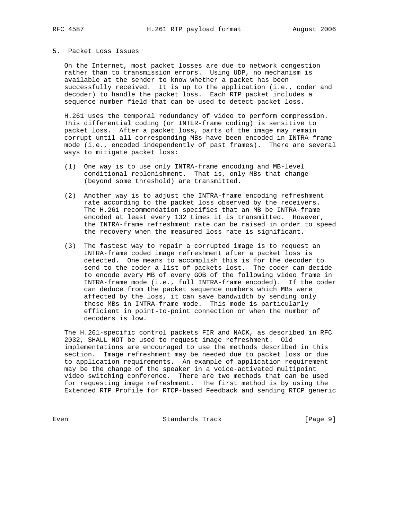#### 5. Packet Loss Issues

 On the Internet, most packet losses are due to network congestion rather than to transmission errors. Using UDP, no mechanism is available at the sender to know whether a packet has been successfully received. It is up to the application (i.e., coder and decoder) to handle the packet loss. Each RTP packet includes a sequence number field that can be used to detect packet loss.

 H.261 uses the temporal redundancy of video to perform compression. This differential coding (or INTER-frame coding) is sensitive to packet loss. After a packet loss, parts of the image may remain corrupt until all corresponding MBs have been encoded in INTRA-frame mode (i.e., encoded independently of past frames). There are several ways to mitigate packet loss:

- (1) One way is to use only INTRA-frame encoding and MB-level conditional replenishment. That is, only MBs that change (beyond some threshold) are transmitted.
- (2) Another way is to adjust the INTRA-frame encoding refreshment rate according to the packet loss observed by the receivers. The H.261 recommendation specifies that an MB be INTRA-frame encoded at least every 132 times it is transmitted. However, the INTRA-frame refreshment rate can be raised in order to speed the recovery when the measured loss rate is significant.
- (3) The fastest way to repair a corrupted image is to request an INTRA-frame coded image refreshment after a packet loss is detected. One means to accomplish this is for the decoder to send to the coder a list of packets lost. The coder can decide to encode every MB of every GOB of the following video frame in INTRA-frame mode (i.e., full INTRA-frame encoded). If the coder can deduce from the packet sequence numbers which MBs were affected by the loss, it can save bandwidth by sending only those MBs in INTRA-frame mode. This mode is particularly efficient in point-to-point connection or when the number of decoders is low.

 The H.261-specific control packets FIR and NACK, as described in RFC 2032, SHALL NOT be used to request image refreshment. Old implementations are encouraged to use the methods described in this section. Image refreshment may be needed due to packet loss or due to application requirements. An example of application requirement may be the change of the speaker in a voice-activated multipoint video switching conference. There are two methods that can be used for requesting image refreshment. The first method is by using the Extended RTP Profile for RTCP-based Feedback and sending RTCP generic

Even Standards Track [Page 9]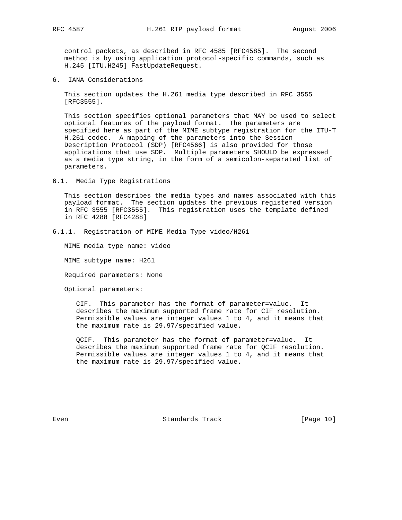control packets, as described in RFC 4585 [RFC4585]. The second method is by using application protocol-specific commands, such as H.245 [ITU.H245] FastUpdateRequest.

6. IANA Considerations

 This section updates the H.261 media type described in RFC 3555 [RFC3555].

 This section specifies optional parameters that MAY be used to select optional features of the payload format. The parameters are specified here as part of the MIME subtype registration for the ITU-T H.261 codec. A mapping of the parameters into the Session Description Protocol (SDP) [RFC4566] is also provided for those applications that use SDP. Multiple parameters SHOULD be expressed as a media type string, in the form of a semicolon-separated list of parameters.

6.1. Media Type Registrations

 This section describes the media types and names associated with this payload format. The section updates the previous registered version in RFC 3555 [RFC3555]. This registration uses the template defined in RFC 4288 [RFC4288]

6.1.1. Registration of MIME Media Type video/H261

MIME media type name: video

MIME subtype name: H261

Required parameters: None

Optional parameters:

 CIF. This parameter has the format of parameter=value. It describes the maximum supported frame rate for CIF resolution. Permissible values are integer values 1 to 4, and it means that the maximum rate is 29.97/specified value.

 QCIF. This parameter has the format of parameter=value. It describes the maximum supported frame rate for QCIF resolution. Permissible values are integer values 1 to 4, and it means that the maximum rate is 29.97/specified value.

Even Standards Track [Page 10]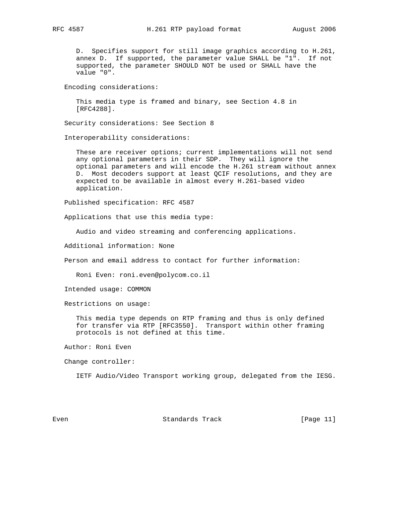D. Specifies support for still image graphics according to H.261, annex D. If supported, the parameter value SHALL be "1". If not supported, the parameter SHOULD NOT be used or SHALL have the value "0".

Encoding considerations:

 This media type is framed and binary, see Section 4.8 in [RFC4288].

Security considerations: See Section 8

Interoperability considerations:

 These are receiver options; current implementations will not send any optional parameters in their SDP. They will ignore the optional parameters and will encode the H.261 stream without annex D. Most decoders support at least QCIF resolutions, and they are expected to be available in almost every H.261-based video application.

Published specification: RFC 4587

Applications that use this media type:

Audio and video streaming and conferencing applications.

Additional information: None

Person and email address to contact for further information:

Roni Even: roni.even@polycom.co.il

Intended usage: COMMON

Restrictions on usage:

 This media type depends on RTP framing and thus is only defined for transfer via RTP [RFC3550]. Transport within other framing protocols is not defined at this time.

Author: Roni Even

Change controller:

IETF Audio/Video Transport working group, delegated from the IESG.

Even Standards Track [Page 11]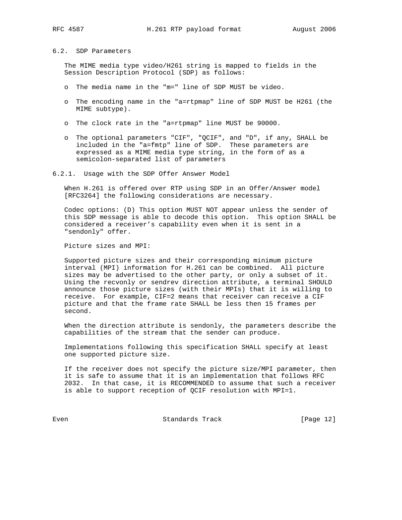## 6.2. SDP Parameters

 The MIME media type video/H261 string is mapped to fields in the Session Description Protocol (SDP) as follows:

- o The media name in the "m=" line of SDP MUST be video.
- o The encoding name in the "a=rtpmap" line of SDP MUST be H261 (the MIME subtype).
- o The clock rate in the "a=rtpmap" line MUST be 90000.
- o The optional parameters "CIF", "QCIF", and "D", if any, SHALL be included in the "a=fmtp" line of SDP. These parameters are expressed as a MIME media type string, in the form of as a semicolon-separated list of parameters
- 6.2.1. Usage with the SDP Offer Answer Model

 When H.261 is offered over RTP using SDP in an Offer/Answer model [RFC3264] the following considerations are necessary.

 Codec options: (D) This option MUST NOT appear unless the sender of this SDP message is able to decode this option. This option SHALL be considered a receiver's capability even when it is sent in a "sendonly" offer.

Picture sizes and MPI:

 Supported picture sizes and their corresponding minimum picture interval (MPI) information for H.261 can be combined. All picture sizes may be advertised to the other party, or only a subset of it. Using the recvonly or sendrev direction attribute, a terminal SHOULD announce those picture sizes (with their MPIs) that it is willing to receive. For example, CIF=2 means that receiver can receive a CIF picture and that the frame rate SHALL be less then 15 frames per second.

 When the direction attribute is sendonly, the parameters describe the capabilities of the stream that the sender can produce.

 Implementations following this specification SHALL specify at least one supported picture size.

 If the receiver does not specify the picture size/MPI parameter, then it is safe to assume that it is an implementation that follows RFC 2032. In that case, it is RECOMMENDED to assume that such a receiver is able to support reception of QCIF resolution with MPI=1.

Even Standards Track [Page 12]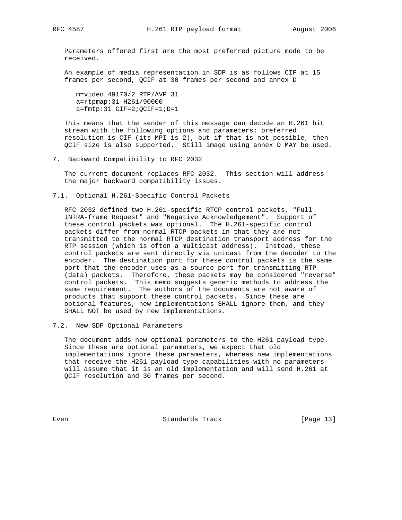Parameters offered first are the most preferred picture mode to be received.

 An example of media representation in SDP is as follows CIF at 15 frames per second, QCIF at 30 frames per second and annex D

 m=video 49170/2 RTP/AVP 31 a=rtpmap:31 H261/90000 a=fmtp:31 CIF=2;QCIF=1;D=1

 This means that the sender of this message can decode an H.261 bit stream with the following options and parameters: preferred resolution is CIF (its MPI is 2), but if that is not possible, then QCIF size is also supported. Still image using annex D MAY be used.

7. Backward Compatibility to RFC 2032

 The current document replaces RFC 2032. This section will address the major backward compatibility issues.

7.1. Optional H.261-Specific Control Packets

 RFC 2032 defined two H.261-specific RTCP control packets, "Full INTRA-frame Request" and "Negative Acknowledgement". Support of these control packets was optional. The H.261-specific control packets differ from normal RTCP packets in that they are not transmitted to the normal RTCP destination transport address for the RTP session (which is often a multicast address). Instead, these control packets are sent directly via unicast from the decoder to the encoder. The destination port for these control packets is the same port that the encoder uses as a source port for transmitting RTP (data) packets. Therefore, these packets may be considered "reverse" control packets. This memo suggests generic methods to address the same requirement. The authors of the documents are not aware of products that support these control packets. Since these are optional features, new implementations SHALL ignore them, and they SHALL NOT be used by new implementations.

7.2. New SDP Optional Parameters

 The document adds new optional parameters to the H261 payload type. Since these are optional parameters, we expect that old implementations ignore these parameters, whereas new implementations that receive the H261 payload type capabilities with no parameters will assume that it is an old implementation and will send H.261 at QCIF resolution and 30 frames per second.

Even Standards Track [Page 13]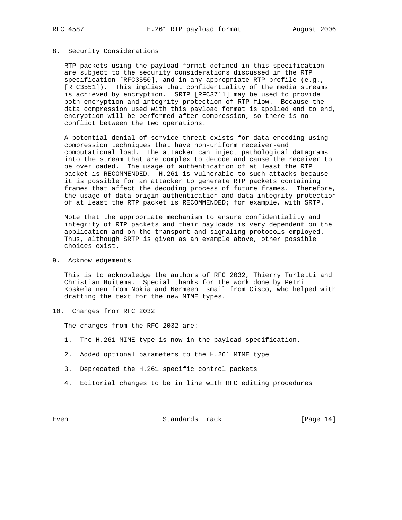### 8. Security Considerations

 RTP packets using the payload format defined in this specification are subject to the security considerations discussed in the RTP specification [RFC3550], and in any appropriate RTP profile (e.g., [RFC3551]). This implies that confidentiality of the media streams is achieved by encryption. SRTP [RFC3711] may be used to provide both encryption and integrity protection of RTP flow. Because the data compression used with this payload format is applied end to end, encryption will be performed after compression, so there is no conflict between the two operations.

 A potential denial-of-service threat exists for data encoding using compression techniques that have non-uniform receiver-end computational load. The attacker can inject pathological datagrams into the stream that are complex to decode and cause the receiver to be overloaded. The usage of authentication of at least the RTP packet is RECOMMENDED. H.261 is vulnerable to such attacks because it is possible for an attacker to generate RTP packets containing frames that affect the decoding process of future frames. Therefore, the usage of data origin authentication and data integrity protection of at least the RTP packet is RECOMMENDED; for example, with SRTP.

 Note that the appropriate mechanism to ensure confidentiality and integrity of RTP packets and their payloads is very dependent on the application and on the transport and signaling protocols employed. Thus, although SRTP is given as an example above, other possible choices exist.

9. Acknowledgements

 This is to acknowledge the authors of RFC 2032, Thierry Turletti and Christian Huitema. Special thanks for the work done by Petri Koskelainen from Nokia and Nermeen Ismail from Cisco, who helped with drafting the text for the new MIME types.

10. Changes from RFC 2032

The changes from the RFC 2032 are:

- 1. The H.261 MIME type is now in the payload specification.
- 2. Added optional parameters to the H.261 MIME type
- 3. Deprecated the H.261 specific control packets
- 4. Editorial changes to be in line with RFC editing procedures

Even Standards Track [Page 14]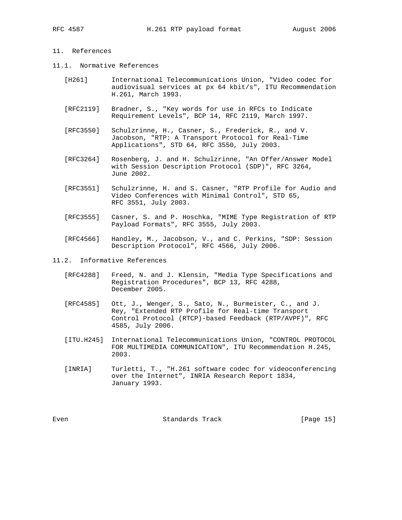# 11. References

- 11.1. Normative References
	- [H261] International Telecommunications Union, "Video codec for audiovisual services at px 64 kbit/s", ITU Recommendation H.261, March 1993.
	- [RFC2119] Bradner, S., "Key words for use in RFCs to Indicate Requirement Levels", BCP 14, RFC 2119, March 1997.
	- [RFC3550] Schulzrinne, H., Casner, S., Frederick, R., and V. Jacobson, "RTP: A Transport Protocol for Real-Time Applications", STD 64, RFC 3550, July 2003.
	- [RFC3264] Rosenberg, J. and H. Schulzrinne, "An Offer/Answer Model with Session Description Protocol (SDP)", RFC 3264, June 2002.
	- [RFC3551] Schulzrinne, H. and S. Casner, "RTP Profile for Audio and Video Conferences with Minimal Control", STD 65, RFC 3551, July 2003.
	- [RFC3555] Casner, S. and P. Hoschka, "MIME Type Registration of RTP Payload Formats", RFC 3555, July 2003.
	- [RFC4566] Handley, M., Jacobson, V., and C. Perkins, "SDP: Session Description Protocol", RFC 4566, July 2006.
- 11.2. Informative References
	- [RFC4288] Freed, N. and J. Klensin, "Media Type Specifications and Registration Procedures", BCP 13, RFC 4288, December 2005.
	- [RFC4585] Ott, J., Wenger, S., Sato, N., Burmeister, C., and J. Rey, "Extended RTP Profile for Real-time Transport Control Protocol (RTCP)-based Feedback (RTP/AVPF)", RFC 4585, July 2006.
	- [ITU.H245] International Telecommunications Union, "CONTROL PROTOCOL FOR MULTIMEDIA COMMUNICATION", ITU Recommendation H.245, 2003.
	- [INRIA] Turletti, T., "H.261 software codec for videoconferencing over the Internet", INRIA Research Report 1834, January 1993.

Even Standards Track [Page 15]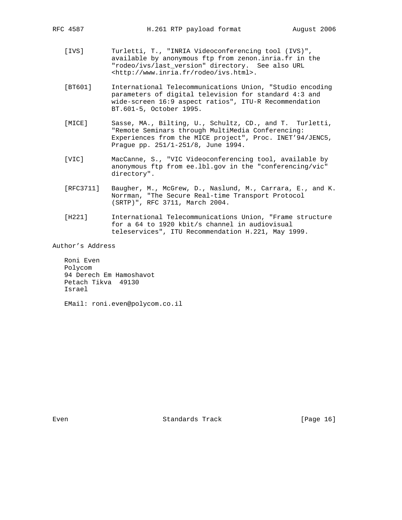- [IVS] Turletti, T., "INRIA Videoconferencing tool (IVS)", available by anonymous ftp from zenon.inria.fr in the "rodeo/ivs/last\_version" directory. See also URL <http://www.inria.fr/rodeo/ivs.html>.
- [BT601] International Telecommunications Union, "Studio encoding parameters of digital television for standard 4:3 and wide-screen 16:9 aspect ratios", ITU-R Recommendation BT.601-5, October 1995.
- [MICE] Sasse, MA., Bilting, U., Schultz, CD., and T. Turletti, "Remote Seminars through MultiMedia Conferencing: Experiences from the MICE project", Proc. INET'94/JENC5, Prague pp. 251/1-251/8, June 1994.
- [VIC] MacCanne, S., "VIC Videoconferencing tool, available by anonymous ftp from ee.lbl.gov in the "conferencing/vic" directory".
- [RFC3711] Baugher, M., McGrew, D., Naslund, M., Carrara, E., and K. Norrman, "The Secure Real-time Transport Protocol (SRTP)", RFC 3711, March 2004.
- [H221] International Telecommunications Union, "Frame structure for a 64 to 1920 kbit/s channel in audiovisual teleservices", ITU Recommendation H.221, May 1999.

Author's Address

 Roni Even Polycom 94 Derech Em Hamoshavot Petach Tikva 49130 Israel

EMail: roni.even@polycom.co.il

Even Standards Track [Page 16]